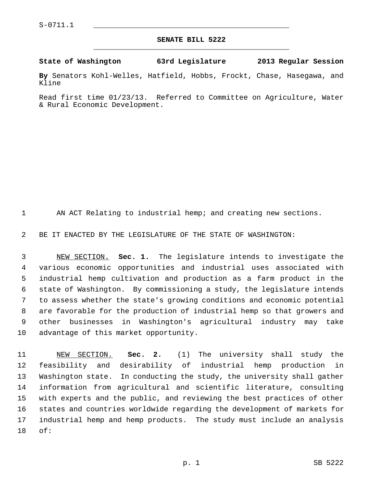## **SENATE BILL 5222** \_\_\_\_\_\_\_\_\_\_\_\_\_\_\_\_\_\_\_\_\_\_\_\_\_\_\_\_\_\_\_\_\_\_\_\_\_\_\_\_\_\_\_\_\_

## **State of Washington 63rd Legislature 2013 Regular Session**

**By** Senators Kohl-Welles, Hatfield, Hobbs, Frockt, Chase, Hasegawa, and Kline

Read first time 01/23/13. Referred to Committee on Agriculture, Water & Rural Economic Development.

1 AN ACT Relating to industrial hemp; and creating new sections.

2 BE IT ENACTED BY THE LEGISLATURE OF THE STATE OF WASHINGTON:

 3 NEW SECTION. **Sec. 1.** The legislature intends to investigate the 4 various economic opportunities and industrial uses associated with 5 industrial hemp cultivation and production as a farm product in the 6 state of Washington. By commissioning a study, the legislature intends 7 to assess whether the state's growing conditions and economic potential 8 are favorable for the production of industrial hemp so that growers and 9 other businesses in Washington's agricultural industry may take 10 advantage of this market opportunity.

11 NEW SECTION. **Sec. 2.** (1) The university shall study the 12 feasibility and desirability of industrial hemp production in 13 Washington state. In conducting the study, the university shall gather 14 information from agricultural and scientific literature, consulting 15 with experts and the public, and reviewing the best practices of other 16 states and countries worldwide regarding the development of markets for 17 industrial hemp and hemp products. The study must include an analysis 18 of: